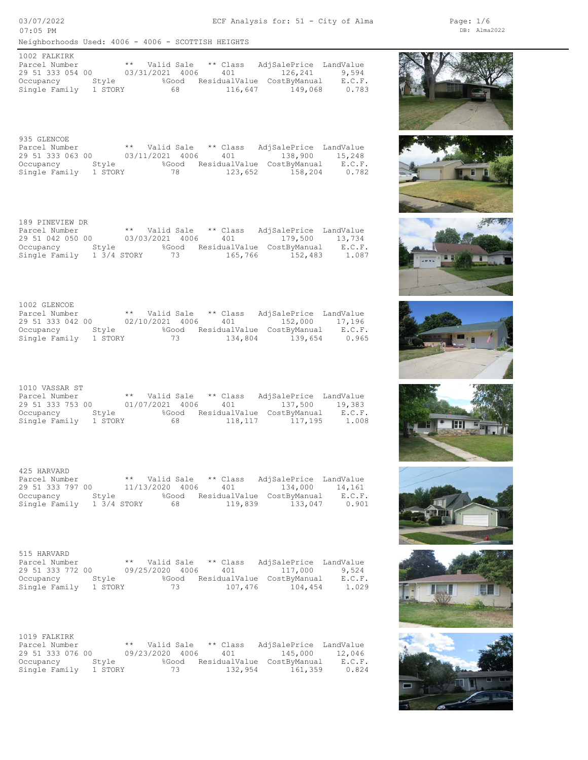03/07/2022 07:05 PM

| 1002 FALKIRK     |         |                 |    |          |                            |        |
|------------------|---------|-----------------|----|----------|----------------------------|--------|
| Parcel Number    |         | ** Valid Sale   |    | ** Class | AdjSalePrice LandValue     |        |
| 29 51 333 054 00 |         | 03/31/2021 4006 |    | 401      | 126,241                    | 9.594  |
| Occupancy        | Stvle   | %Good           |    |          | ResidualValue CostByManual | E.C.F. |
| Single Family    | 1 STORY |                 | 68 | 116,647  | 149,068                    | 0.783  |

| 935 GLENCOE      |         |                 |       |          |                            |        |
|------------------|---------|-----------------|-------|----------|----------------------------|--------|
| Parcel Number    |         | ** Valid Sale   |       | ** Class | AdjSalePrice LandValue     |        |
| 29 51 333 063 00 |         | 03/11/2021 4006 |       | 401      | 138,900                    | 15,248 |
| Occupancy        | Stvle   |                 | %Good |          | ResidualValue CostByManual | E.C.F. |
| Single Family    | 1 STORY |                 | 78    | 123,652  | 158,204                    | 0.782  |

| 189 PINEVIEW DR    |             |                 |                        |                            |        |
|--------------------|-------------|-----------------|------------------------|----------------------------|--------|
| Parcel Number      |             |                 | ** Valid Sale ** Class | AdjSalePrice LandValue     |        |
| 29 51 042 050 00   |             | 03/03/2021 4006 |                        | 401 179.500                | 13,734 |
| Stvle<br>Occupancy |             | %Good           |                        | ResidualValue CostByManual | E.C.F. |
| Single Family      | 1 3/4 STORY | 73 73           | 165,766                | 152,483                    | 1.087  |

| 1002 GLENCOE     |         |                 |       |          |                            |        |
|------------------|---------|-----------------|-------|----------|----------------------------|--------|
| Parcel Number    |         | ** Valid Sale   |       | ** Class | AdjSalePrice LandValue     |        |
| 29 51 333 042 00 |         | 02/10/2021 4006 |       | 401      | 152,000 17,196             |        |
| Occupancy        | Stvle   |                 | %Good |          | ResidualValue CostByManual | E.C.F. |
| Single Family    | 1 STORY |                 | 73    | 134.804  | 139,654                    | 0.965  |

| 1010 VASSAR ST   |         |                 |       |                        |                            |        |
|------------------|---------|-----------------|-------|------------------------|----------------------------|--------|
| Parcel Number    |         |                 |       | ** Valid Sale ** Class | AdjSalePrice LandValue     |        |
| 29 51 333 753 00 |         | 01/07/2021 4006 |       |                        | 401 137.500                | 19,383 |
| Occupancy        | Stvle   |                 | %Good |                        | ResidualValue CostByManual | E.C.F. |
| Single Family    | 1 STORY |                 | 68 -  | 118,117                | 117,195                    | 1.008  |

| 425 HARVARD      |             |                 |          |                            |        |
|------------------|-------------|-----------------|----------|----------------------------|--------|
| Parcel Number    |             | ** Valid Sale   | ** Class | AdjSalePrice LandValue     |        |
| 29 51 333 797 00 |             | 11/13/2020 4006 | 401      | 134,000                    | 14,161 |
| Occupancy        | Stvle       | %Good           |          | ResidualValue CostByManual | E.C.F. |
| Single Family    | 1 3/4 STORY | 68 -            | 119,839  | 133,047                    | 0.901  |

| 515 HARVARD      |         |                        |       |         |                            |        |
|------------------|---------|------------------------|-------|---------|----------------------------|--------|
| Parcel Number    |         | ** Valid Sale ** Class |       |         | AdjSalePrice LandValue     |        |
| 29 51 333 772 00 |         | 09/25/2020 4006        |       |         | 401 117,000                | 9,524  |
| Occupancy        | Stvle   |                        | %Good |         | ResidualValue CostByManual | E.C.F. |
| Single Family    | 1 STORY |                        | 73    | 107,476 | 104,454                    | 1.029  |

| 1019 FALKIRK     |         |                        |       |         |                            |        |
|------------------|---------|------------------------|-------|---------|----------------------------|--------|
| Parcel Number    |         | ** Valid Sale ** Class |       |         | AdjSalePrice LandValue     |        |
| 29 51 333 076 00 |         | 09/23/2020 4006        |       | 401     | 145,000                    | 12,046 |
| Occupancy        | Stvle   |                        | %Good |         | ResidualValue CostByManual | E.C.F. |
| Single Family    | 1 STORY |                        | 73 —  | 132,954 | 161,359                    | 0.824  |















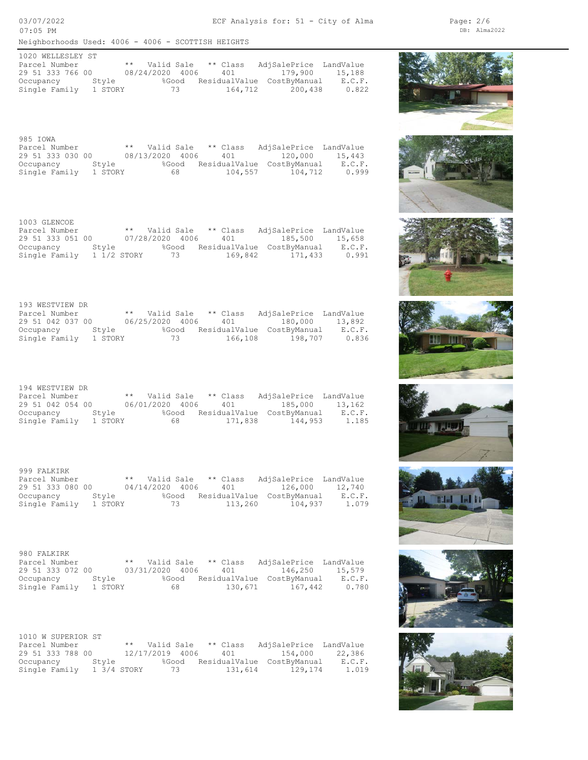03/07/2022 07:05 PM

| 1020 WELLESLEY ST |         |                 |       |    |            |                            |        |
|-------------------|---------|-----------------|-------|----|------------|----------------------------|--------|
| Parcel Number     |         | ** Valid Sale   |       |    | $**$ Class | AdjSalePrice LandValue     |        |
| 29 51 333 766 00  |         | 08/24/2020 4006 |       |    | 401        | 179.900                    | 15,188 |
| Occupancy         | Stvle   |                 | %Good |    |            | ResidualValue CostByManual | E.C.F. |
| Single Family     | 1 STORY |                 |       | 73 | 164,712    | 200,438                    | 0.822  |

| 985 IOWA         |         |                 |       |          |                            |        |
|------------------|---------|-----------------|-------|----------|----------------------------|--------|
| Parcel Number    |         | ** Valid Sale   |       | ** Class | AdjSalePrice LandValue     |        |
| 29 51 333 030 00 |         | 08/13/2020 4006 |       | 401      | 120,000                    | 15,443 |
| Occupancy        | Stvle   |                 | %Good |          | ResidualValue CostByManual | E.C.F. |
| Single Family    | 1 STORY |                 | 68 -  | 104,557  | 104,712                    | 0.999  |

| 1003 GLENCOE              |       |               |       |                     |                            |        |
|---------------------------|-------|---------------|-------|---------------------|----------------------------|--------|
| Parcel Number             |       | ** Valid Sale |       | ** Class            | AdjSalePrice LandValue     |        |
| 29 51 333 051 00          |       |               |       | 07/28/2020 4006 401 | 185,500 15,658             |        |
| Occupancy                 | Stvle |               | %Good |                     | ResidualValue CostByManual | E.C.F. |
| Single Family 1 1/2 STORY |       |               | 73    | 169,842             | 171,433                    | 0.991  |

| 193 WESTVIEW DR  |         |                 |          |                            |        |
|------------------|---------|-----------------|----------|----------------------------|--------|
| Parcel Number    |         | ** Valid Sale   | ** Class | AdjSalePrice LandValue     |        |
| 29 51 042 037 00 |         | 06/25/2020 4006 | 401      | 180,000                    | 13,892 |
| Occupancy        | Stvle   | %Good           |          | ResidualValue CostByManual | E.C.F. |
| Single Family    | 1 STORY | 73              | 166,108  | 198,707                    | 0.836  |

| 194 WESTVIEW DR  |         |                        |       |         |                            |        |
|------------------|---------|------------------------|-------|---------|----------------------------|--------|
| Parcel Number    |         | ** Valid Sale ** Class |       |         | AdjSalePrice LandValue     |        |
| 29 51 042 054 00 |         | 06/01/2020 4006 401    |       |         | 185,000 13,162             |        |
| Occupancy        | Style   |                        | %Good |         | ResidualValue CostByManual | E.C.F. |
| Single Family    | 1 STORY |                        | 68 -  | 171,838 | 144,953                    | 1.185  |

| 999 FALKIRK      |         |                        |       |         |                            |        |
|------------------|---------|------------------------|-------|---------|----------------------------|--------|
| Parcel Number    |         | ** Valid Sale ** Class |       |         | AdjSalePrice LandValue     |        |
| 29 51 333 080 00 |         | 04/14/2020 4006        |       | 401     | 126,000                    | 12,740 |
| Occupancy        | Stvle   |                        | %Good |         | ResidualValue CostByManual | E.C.F. |
| Single Family    | 1 STORY |                        | 73    | 113,260 | 104,937                    | 1.079  |

| 980 FALKIRK      |         |                 |       |          |                            |        |
|------------------|---------|-----------------|-------|----------|----------------------------|--------|
| Parcel Number    |         | ** Valid Sale   |       | ** Class | AdjSalePrice LandValue     |        |
| 29 51 333 072 00 |         | 03/31/2020 4006 |       | 401      | 146,250                    | 15,579 |
| Occupancy        | Stvle   |                 | %Good |          | ResidualValue CostByManual | E.C.F. |
| Single Family    | 1 STORY |                 | 68 -  |          | 130,671 167,442            | 0.780  |

| 1010 W SUPERIOR ST |             |                        |         |                                  |        |
|--------------------|-------------|------------------------|---------|----------------------------------|--------|
| Parcel Number      |             | ** Valid Sale ** Class |         | AdjSalePrice LandValue           |        |
| 29 51 333 788 00   |             | 12/17/2019 4006        | 401     | 154,000                          | 22,386 |
| Occupancy          | Stvle       |                        |         | %Good ResidualValue CostBvManual | E.C.F. |
| Single Family      | 1 3/4 STORY | 73 73                  | 131,614 | 129,174                          | 1.019  |



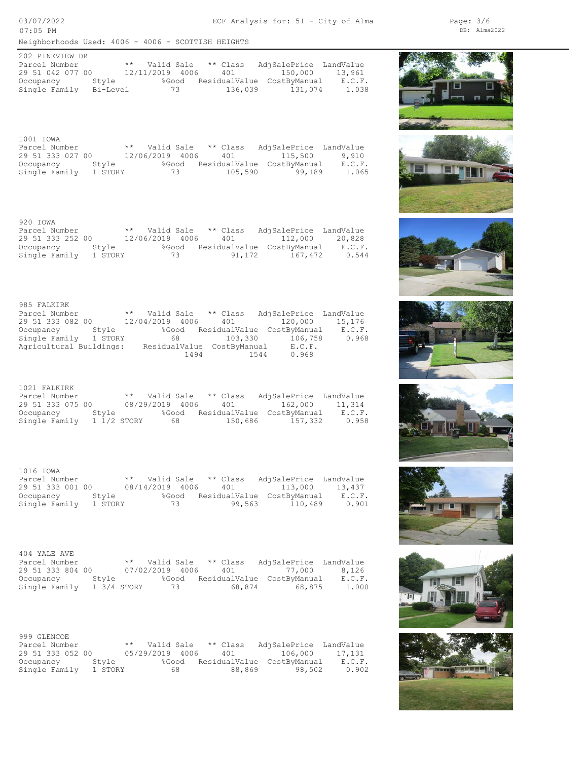03/07/2022 07:05 PM

| 202 PINEVIEW DR  |          |                 |                        |                            |        |
|------------------|----------|-----------------|------------------------|----------------------------|--------|
| Parcel Number    |          |                 | ** Valid Sale ** Class | AdjSalePrice LandValue     |        |
| 29 51 042 077 00 |          | 12/11/2019 4006 |                        | 401 150,000                | 13,961 |
| Occupancy Style  |          | %Good           |                        | ResidualValue CostByManual | E.C.F. |
| Single Family    | Bi-Level | 73 73           |                        | 136,039 131,074            | 1.038  |

| 1001 IOWA        |         |               |       |          |                             |        |
|------------------|---------|---------------|-------|----------|-----------------------------|--------|
| Parcel Number    |         | ** Valid Sale |       | ** Class | AdiSalePrice LandValue      |        |
| 29 51 333 027 00 |         |               |       |          | 12/06/2019 4006 401 115,500 | 9,910  |
| Occupancy Style  |         |               | %Good |          | ResidualValue CostByManual  | E.C.F. |
| Single Family    | 1 STORY |               | 73    | 105,590  | 99,189                      | 1.065  |

| 920 IOWA         |         |                 |       |          |                            |        |
|------------------|---------|-----------------|-------|----------|----------------------------|--------|
| Parcel Number    |         | ** Valid Sale   |       | ** Class | AdjSalePrice LandValue     |        |
| 29 51 333 252 00 |         | 12/06/2019 4006 |       |          | 401 112,000                | 20,828 |
| Occupancy        | Stvle   |                 | %Good |          | ResidualValue CostByManual | E.C.F. |
| Single Family    | 1 STORY |                 | 73    | 91,172   | 167,472                    | 0.544  |

| 985 FALKIRK             |       |                 |            |                            |      |                            |                        |
|-------------------------|-------|-----------------|------------|----------------------------|------|----------------------------|------------------------|
| Parcel Number           |       | $\star\star$    | Valid Sale | ** Class                   |      |                            | AdjSalePrice LandValue |
| 29 51 333 082 00        |       | 12/04/2019 4006 |            | 401                        |      | 120,000                    | 15,176                 |
| Occupancy               | Style |                 | %Good      |                            |      | ResidualValue CostByManual | E.C.F.                 |
| Single Family 1 STORY   |       |                 | 68         | 103,330                    |      | 106,758                    | 0.968                  |
| Agricultural Buildings: |       |                 |            | ResidualValue CostByManual |      | E.C.F.                     |                        |
|                         |       |                 | 1494       |                            | 1544 | 0.968                      |                        |

| 1021 FALKIRK     |             |               |                 |       |          |                            |        |
|------------------|-------------|---------------|-----------------|-------|----------|----------------------------|--------|
| Parcel Number    |             | ** Valid Sale |                 |       | ** Class | AdjSalePrice LandValue     |        |
| 29 51 333 075 00 |             |               | 08/29/2019 4006 |       | 401      | 162,000                    | 11,314 |
| Occupancy        | Stvle       |               |                 | %Good |          | ResidualValue CostBvManual | E.C.F. |
| Single Family    | 1 1/2 STORY |               |                 | 68 —  | 150,686  | 157,332                    | 0.958  |

| 1016 IOWA        |         |                 |       |                        |                            |        |
|------------------|---------|-----------------|-------|------------------------|----------------------------|--------|
| Parcel Number    |         |                 |       | ** Valid Sale ** Class | AdjSalePrice LandValue     |        |
| 29 51 333 001 00 |         | 08/14/2019 4006 |       |                        | 401 113,000                | 13,437 |
| Occupancy        | Stvle   |                 | %Good |                        | ResidualValue CostByManual | E.C.F. |
| Single Family    | 1 STORY |                 | 73    | 99,563                 | 110,489                    | 0.901  |

| 404 YALE AVE     |             |  |       |                        |                            |        |
|------------------|-------------|--|-------|------------------------|----------------------------|--------|
| Parcel Number    |             |  |       | ** Valid Sale ** Class | AdjSalePrice LandValue     |        |
| 29 51 333 804 00 |             |  |       |                        | 07/02/2019 4006 401 77,000 | 8,126  |
| Occupancy        | Stvle       |  | %Good |                        | ResidualValue CostByManual | E.C.F. |
| Single Family    | 1 3/4 STORY |  | 73    | 68,874                 | 68,875                     | 1,000  |

| 999 GLENCOE      |         |                 |          |                            |        |
|------------------|---------|-----------------|----------|----------------------------|--------|
| Parcel Number    |         | ** Valid Sale   | ** Class | AdjSalePrice LandValue     |        |
| 29 51 333 052 00 |         | 05/29/2019 4006 | 401      | 106,000                    | 17,131 |
| Occupancy        | Stvle   | %Good           |          | ResidualValue CostByManual | E.C.F. |
| Single Family    | 1 STORY | 68              | 88,869   | 98,502                     | 0.902  |



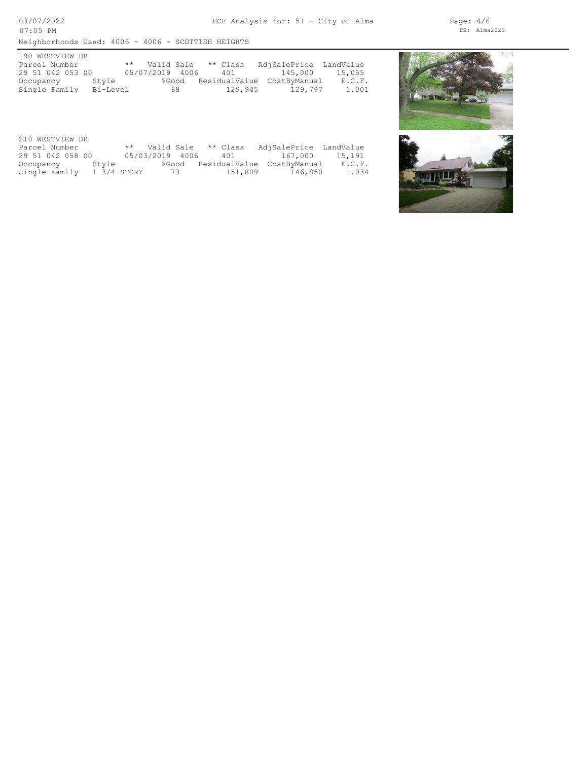| 190 WESTVIEW DR  |          |                 |    |          |                            |        |
|------------------|----------|-----------------|----|----------|----------------------------|--------|
| Parcel Number    |          | ** Valid Sale   |    | ** Class | AdjSalePrice LandValue     |        |
| 29 51 042 053 00 |          | 05/07/2019 4006 |    | 401      | 145,000                    | 15,055 |
| Occupancy        | Style    | %Good           |    |          | ResidualValue CostByManual | E.C.F. |
| Single Family    | Bi-Level |                 | 68 | 129,945  | 129.797                    | 1.001  |

| 210 WESTVIEW DR           |  |                 |  |       |  |          |                            |        |
|---------------------------|--|-----------------|--|-------|--|----------|----------------------------|--------|
| Parcel Number             |  | ** Valid Sale   |  |       |  | ** Class | AdjSalePrice LandValue     |        |
| 29 51 042 058 00          |  | 05/03/2019 4006 |  |       |  | 401      | 167,000                    | 15,191 |
| Occupancy Style           |  |                 |  | %Good |  |          | ResidualValue CostByManual | E.C.F. |
| Single Family 1 3/4 STORY |  |                 |  | 73 73 |  |          | 151,809 146,850            | 1.034  |



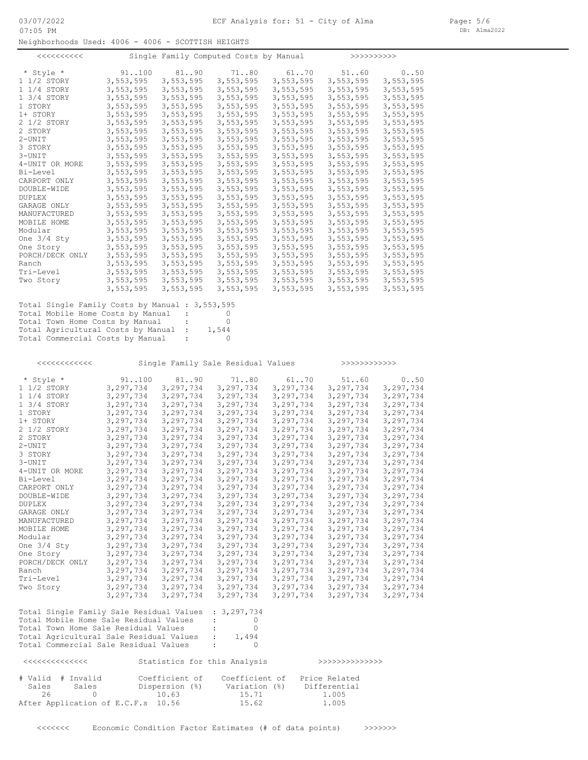Neighborhoods Used: 4006 - 4006 - SCOTTISH HEIGHTS

| $<<<<<<<<<<$                                    |           |           | Single Family Computed Costs by Manual |           | >>>>>>>>>>>> |           |
|-------------------------------------------------|-----------|-----------|----------------------------------------|-----------|--------------|-----------|
| * Style *                                       | 91.100    | 81.090    | 7180                                   | 61. .70   | 51.060       | 0.050     |
| 1 1/2 STORY                                     | 3,553,595 | 3,553,595 | 3,553,595                              | 3,553,595 | 3,553,595    | 3,553,595 |
| 1 1/4 STORY                                     | 3,553,595 | 3,553,595 | 3,553,595                              | 3,553,595 | 3,553,595    | 3,553,595 |
| 1 3/4 STORY                                     | 3,553,595 | 3,553,595 | 3,553,595                              | 3,553,595 | 3,553,595    | 3,553,595 |
| 1 STORY                                         | 3,553,595 | 3,553,595 | 3,553,595                              | 3,553,595 | 3,553,595    | 3,553,595 |
| 1+ STORY                                        | 3,553,595 | 3,553,595 | 3,553,595                              | 3,553,595 | 3,553,595    | 3,553,595 |
| 2 1/2 STORY                                     | 3,553,595 | 3,553,595 | 3,553,595                              | 3,553,595 | 3,553,595    | 3,553,595 |
| 2 STORY                                         | 3,553,595 | 3,553,595 | 3,553,595                              | 3,553,595 | 3,553,595    | 3,553,595 |
| $2 - UNIT$                                      | 3,553,595 | 3,553,595 | 3,553,595                              | 3,553,595 | 3,553,595    | 3,553,595 |
| 3 STORY                                         | 3,553,595 | 3,553,595 | 3,553,595                              | 3,553,595 | 3,553,595    | 3,553,595 |
| 3-UNIT                                          | 3,553,595 | 3,553,595 | 3,553,595                              | 3,553,595 | 3,553,595    | 3,553,595 |
| 4-UNIT OR MORE                                  | 3,553,595 | 3,553,595 | 3,553,595                              | 3,553,595 | 3,553,595    | 3,553,595 |
| Bi-Level                                        | 3,553,595 | 3,553,595 | 3,553,595                              | 3,553,595 | 3,553,595    | 3,553,595 |
| CARPORT ONLY                                    | 3,553,595 | 3,553,595 | 3,553,595                              | 3,553,595 | 3,553,595    | 3,553,595 |
| DOUBLE-WIDE                                     | 3,553,595 | 3,553,595 | 3,553,595                              | 3,553,595 | 3,553,595    | 3,553,595 |
| <b>DUPLEX</b>                                   | 3,553,595 | 3,553,595 | 3,553,595                              | 3,553,595 | 3,553,595    | 3,553,595 |
| GARAGE ONLY                                     | 3,553,595 | 3,553,595 | 3,553,595                              | 3,553,595 | 3,553,595    | 3,553,595 |
| MANUFACTURED                                    | 3,553,595 | 3,553,595 | 3,553,595                              | 3,553,595 | 3,553,595    | 3,553,595 |
| MOBILE HOME                                     | 3,553,595 | 3,553,595 | 3,553,595                              | 3,553,595 | 3,553,595    | 3,553,595 |
| Modular                                         | 3,553,595 | 3,553,595 | 3,553,595                              | 3,553,595 | 3,553,595    | 3,553,595 |
| One $3/4$ Sty                                   | 3,553,595 | 3,553,595 | 3,553,595                              | 3,553,595 | 3,553,595    | 3,553,595 |
| One Story                                       | 3,553,595 | 3,553,595 | 3,553,595                              | 3,553,595 | 3,553,595    | 3,553,595 |
| PORCH/DECK ONLY                                 | 3,553,595 | 3,553,595 | 3,553,595                              | 3,553,595 | 3,553,595    | 3,553,595 |
| Ranch                                           | 3,553,595 | 3,553,595 | 3,553,595                              | 3,553,595 | 3,553,595    | 3,553,595 |
| Tri-Level                                       | 3,553,595 | 3,553,595 | 3,553,595                              | 3,553,595 | 3,553,595    | 3,553,595 |
| Two Story                                       | 3,553,595 | 3,553,595 | 3,553,595                              | 3,553,595 | 3,553,595    | 3,553,595 |
|                                                 | 3,553,595 | 3,553,595 | 3,553,595                              | 3,553,595 | 3,553,595    | 3,553,595 |
| Total Single Family Costs by Manual : 3,553,595 |           |           |                                        |           |              |           |

Total Commercial Costs by Manual : 0 Total Agricultural Costs by Manual : 1,544 Total Town Home Costs by Manual : 0 Total Mobile Home Costs by Manual : 0

<<<<<<<<<<<< Single Family Sale Residual Values >>>>>>>>>>>>

| * Style *       | 91.100    | 81. .90   | 7180      | 61.070    | 51.060    | 0.050     |
|-----------------|-----------|-----------|-----------|-----------|-----------|-----------|
| 1 1/2 STORY     | 3,297,734 | 3,297,734 | 3,297,734 | 3,297,734 | 3,297,734 | 3,297,734 |
| 1 1/4 STORY     | 3,297,734 | 3,297,734 | 3,297,734 | 3,297,734 | 3,297,734 | 3,297,734 |
| 1 3/4 STORY     | 3,297,734 | 3,297,734 | 3,297,734 | 3,297,734 | 3,297,734 | 3,297,734 |
| 1 STORY         | 3,297,734 | 3,297,734 | 3,297,734 | 3,297,734 | 3,297,734 | 3,297,734 |
| 1+ STORY        | 3,297,734 | 3,297,734 | 3,297,734 | 3,297,734 | 3,297,734 | 3,297,734 |
| 2 1/2 STORY     | 3,297,734 | 3,297,734 | 3,297,734 | 3,297,734 | 3,297,734 | 3,297,734 |
| 2 STORY         | 3,297,734 | 3,297,734 | 3,297,734 | 3,297,734 | 3,297,734 | 3,297,734 |
| 2-UNIT          | 3,297,734 | 3,297,734 | 3,297,734 | 3,297,734 | 3,297,734 | 3,297,734 |
| 3 STORY         | 3,297,734 | 3,297,734 | 3,297,734 | 3,297,734 | 3,297,734 | 3,297,734 |
| 3-UNIT          | 3,297,734 | 3,297,734 | 3,297,734 | 3,297,734 | 3,297,734 | 3,297,734 |
| 4-UNIT OR MORE  | 3,297,734 | 3,297,734 | 3,297,734 | 3,297,734 | 3,297,734 | 3,297,734 |
| Bi-Level        | 3,297,734 | 3,297,734 | 3,297,734 | 3,297,734 | 3,297,734 | 3,297,734 |
| CARPORT ONLY    | 3,297,734 | 3,297,734 | 3,297,734 | 3,297,734 | 3,297,734 | 3,297,734 |
| DOUBLE-WIDE     | 3,297,734 | 3,297,734 | 3,297,734 | 3,297,734 | 3,297,734 | 3,297,734 |
| DUPLEX          | 3,297,734 | 3,297,734 | 3,297,734 | 3,297,734 | 3,297,734 | 3,297,734 |
| GARAGE ONLY     | 3,297,734 | 3,297,734 | 3,297,734 | 3,297,734 | 3,297,734 | 3,297,734 |
| MANUFACTURED    | 3,297,734 | 3,297,734 | 3,297,734 | 3,297,734 | 3,297,734 | 3,297,734 |
| MOBILE HOME     | 3,297,734 | 3,297,734 | 3,297,734 | 3,297,734 | 3,297,734 | 3,297,734 |
| Modular         | 3,297,734 | 3,297,734 | 3,297,734 | 3,297,734 | 3,297,734 | 3,297,734 |
| One 3/4 Sty     | 3,297,734 | 3,297,734 | 3,297,734 | 3,297,734 | 3,297,734 | 3,297,734 |
| One Story       | 3,297,734 | 3,297,734 | 3,297,734 | 3,297,734 | 3,297,734 | 3,297,734 |
| PORCH/DECK ONLY | 3,297,734 | 3,297,734 | 3,297,734 | 3,297,734 | 3,297,734 | 3,297,734 |
| Ranch           | 3,297,734 | 3,297,734 | 3,297,734 | 3,297,734 | 3,297,734 | 3,297,734 |
| Tri-Level       | 3,297,734 | 3,297,734 | 3,297,734 | 3,297,734 | 3,297,734 | 3,297,734 |
| Two Story       | 3,297,734 | 3,297,734 | 3,297,734 | 3,297,734 | 3,297,734 | 3,297,734 |
|                 | 3,297,734 | 3,297,734 | 3,297,734 | 3,297,734 | 3,297,734 | 3,297,734 |
|                 |           |           |           |           |           |           |
|                 |           |           |           |           |           |           |

| Total Single Family Sale Residual Values : 3,297,734 |                          |       |
|------------------------------------------------------|--------------------------|-------|
| Total Mobile Home Sale Residual Values               |                          |       |
| Total Town Home Sale Residual Values                 |                          |       |
| Total Agricultural Sale Residual Values              | <b>Contract Contract</b> | 1,494 |
| Total Commercial Sale Residual Values                |                          |       |

| くくくくくくくくくくくくくくく                     | Statistics for this Analysis       |                                 | >>>>>>>>>>>>>>>>              |  |
|-------------------------------------|------------------------------------|---------------------------------|-------------------------------|--|
| # Valid # Invalid<br>Sales<br>Sales | Coefficient of<br>Dispersion (%)   | Coefficient of<br>Variation (%) | Price Related<br>Differential |  |
| 26                                  | 10.63                              | 15.71                           | 1.005                         |  |
|                                     | After Application of E.C.F.s 10.56 | 15.62                           | 1,005                         |  |